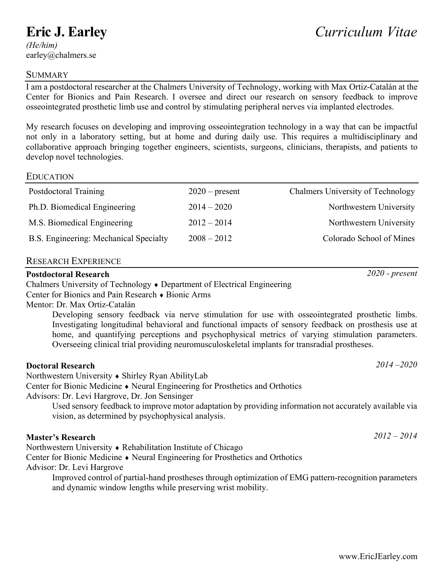# **Eric J. Earley**

*(He/him)*  earley@chalmers.se

#### **SUMMARY**

I am a postdoctoral researcher at the Chalmers University of Technology, working with Max Ortiz-Catalán at the Center for Bionics and Pain Research. I oversee and direct our research on sensory feedback to improve osseointegrated prosthetic limb use and control by stimulating peripheral nerves via implanted electrodes.

My research focuses on developing and improving osseointegration technology in a way that can be impactful not only in a laboratory setting, but at home and during daily use. This requires a multidisciplinary and collaborative approach bringing together engineers, scientists, surgeons, clinicians, therapists, and patients to develop novel technologies.

#### EDUCATION

| $2020$ – present | <b>Chalmers University of Technology</b> |
|------------------|------------------------------------------|
| $2014 - 2020$    | Northwestern University                  |
| $2012 - 2014$    | Northwestern University                  |
| $2008 - 2012$    | Colorado School of Mines                 |
|                  |                                          |

#### RESEARCH EXPERIENCE

## **Postdoctoral Research** *2020 - present*

Chalmers University of Technology ♦ Department of Electrical Engineering

Center for Bionics and Pain Research ♦ Bionic Arms

Mentor: Dr. Max Ortiz-Catalán

Developing sensory feedback via nerve stimulation for use with osseointegrated prosthetic limbs. Investigating longitudinal behavioral and functional impacts of sensory feedback on prosthesis use at home, and quantifying perceptions and psychophysical metrics of varying stimulation parameters. Overseeing clinical trial providing neuromusculoskeletal implants for transradial prostheses.

#### **Doctoral Research** *2014 –2020*

Northwestern University ♦ Shirley Ryan AbilityLab

Center for Bionic Medicine ♦ Neural Engineering for Prosthetics and Orthotics

Advisors: Dr. Levi Hargrove, Dr. Jon Sensinger

Used sensory feedback to improve motor adaptation by providing information not accurately available via vision, as determined by psychophysical analysis.

# **Master's Research** *2012 – 2014*

Northwestern University ♦ Rehabilitation Institute of Chicago

Center for Bionic Medicine ♦ Neural Engineering for Prosthetics and Orthotics Advisor: Dr. Levi Hargrove

Improved control of partial-hand prostheses through optimization of EMG pattern-recognition parameters and dynamic window lengths while preserving wrist mobility.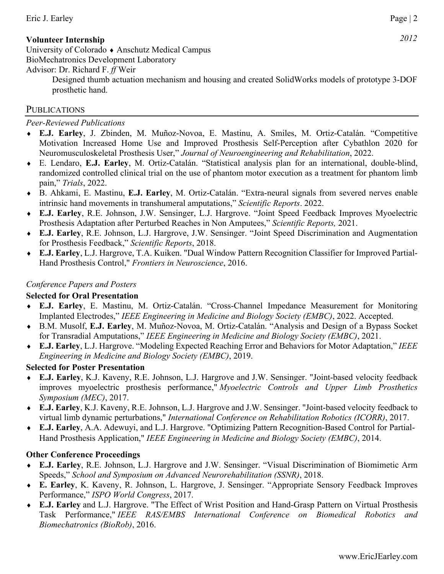#### Eric J. Earley Page | 2

## **Volunteer Internship** *2012*

University of Colorado ♦ Anschutz Medical Campus BioMechatronics Development Laboratory

#### Advisor: Dr. Richard F. *ff* Weir

Designed thumb actuation mechanism and housing and created SolidWorks models of prototype 3-DOF prosthetic hand.

## **PUBLICATIONS**

#### *Peer-Reviewed Publications*

- ♦ **E.J. Earley**, J. Zbinden, M. Muñoz-Novoa, E. Mastinu, A. Smiles, M. Ortiz-Catalán. "Competitive Motivation Increased Home Use and Improved Prosthesis Self-Perception after Cybathlon 2020 for Neuromusculoskeletal Prosthesis User," *Journal of Neuroengineering and Rehabilitation*, 2022.
- ♦ E. Lendaro, **E.J. Earley**, M. Ortiz-Catalán. "Statistical analysis plan for an international, double-blind, randomized controlled clinical trial on the use of phantom motor execution as a treatment for phantom limb pain," *Trials*, 2022.
- ♦ B. Ahkami, E. Mastinu, **E.J. Earley**, M. Ortiz-Catalán. "Extra-neural signals from severed nerves enable intrinsic hand movements in transhumeral amputations," *Scientific Reports*. 2022.
- ♦ **E.J. Earley**, R.E. Johnson, J.W. Sensinger, L.J. Hargrove. "Joint Speed Feedback Improves Myoelectric Prosthesis Adaptation after Perturbed Reaches in Non Amputees," *Scientific Reports,* 2021.
- ♦ **E.J. Earley**, R.E. Johnson, L.J. Hargrove, J.W. Sensinger. "Joint Speed Discrimination and Augmentation for Prosthesis Feedback," *Scientific Reports*, 2018.
- ♦ **E.J. Earley**, L.J. Hargrove, T.A. Kuiken. "Dual Window Pattern Recognition Classifier for Improved Partial-Hand Prosthesis Control," *Frontiers in Neuroscience*, 2016.

## *Conference Papers and Posters*

#### **Selected for Oral Presentation**

- ♦ **E.J. Earley**, E. Mastinu, M. Ortiz-Catalán. "Cross-Channel Impedance Measurement for Monitoring Implanted Electrodes," *IEEE Engineering in Medicine and Biology Society (EMBC)*, 2022. Accepted.
- ♦ B.M. Musolf, **E.J. Earley**, M. Muñoz-Novoa, M. Ortiz-Catalán. "Analysis and Design of a Bypass Socket for Transradial Amputations," *IEEE Engineering in Medicine and Biology Society (EMBC)*, 2021.
- ♦ **E.J. Earley**, L.J. Hargrove. "Modeling Expected Reaching Error and Behaviors for Motor Adaptation," *IEEE Engineering in Medicine and Biology Society (EMBC)*, 2019.

#### **Selected for Poster Presentation**

- ♦ **E.J. Earley**, K.J. Kaveny, R.E. Johnson, L.J. Hargrove and J.W. Sensinger. "Joint-based velocity feedback improves myoelectric prosthesis performance," *Myoelectric Controls and Upper Limb Prosthetics Symposium (MEC)*, 2017.
- ♦ **E.J. Earley**, K.J. Kaveny, R.E. Johnson, L.J. Hargrove and J.W. Sensinger. "Joint-based velocity feedback to virtual limb dynamic perturbations," *International Conference on Rehabilitation Robotics (ICORR)*, 2017.
- ♦ **E.J. Earley**, A.A. Adewuyi, and L.J. Hargrove. "Optimizing Pattern Recognition-Based Control for Partial-Hand Prosthesis Application," *IEEE Engineering in Medicine and Biology Society (EMBC)*, 2014.

#### **Other Conference Proceedings**

- ♦ **E.J. Earley**, R.E. Johnson, L.J. Hargrove and J.W. Sensinger. "Visual Discrimination of Biomimetic Arm Speeds," *School and Symposium on Advanced Neurorehabilitation (SSNR)*, 2018.
- ♦ **E. Earley**, K. Kaveny, R. Johnson, L. Hargrove, J. Sensinger. "Appropriate Sensory Feedback Improves Performance," *ISPO World Congress*, 2017.
- ♦ **E.J. Earley** and L.J. Hargrove. "The Effect of Wrist Position and Hand-Grasp Pattern on Virtual Prosthesis Task Performance," *IEEE RAS/EMBS International Conference on Biomedical Robotics and Biomechatronics (BioRob)*, 2016.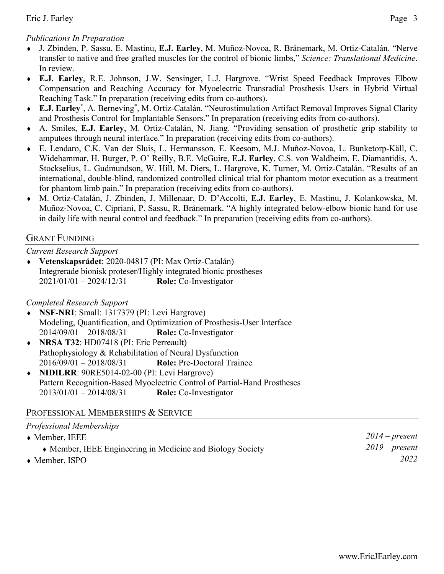## *Publications In Preparation*

- ♦ J. Zbinden, P. Sassu, E. Mastinu, **E.J. Earley**, M. Muñoz-Novoa, R. Brånemark, M. Ortiz-Catalán. "Nerve transfer to native and free grafted muscles for the control of bionic limbs," *Science: Translational Medicine*. In review.
- ♦ **E.J. Earley**, R.E. Johnson, J.W. Sensinger, L.J. Hargrove. "Wrist Speed Feedback Improves Elbow Compensation and Reaching Accuracy for Myoelectric Transradial Prosthesis Users in Hybrid Virtual Reaching Task." In preparation (receiving edits from co-authors).
- ♦ **E.J. Earley\***, A. Berneving\* , M. Ortiz-Catalán. "Neurostimulation Artifact Removal Improves Signal Clarity and Prosthesis Control for Implantable Sensors." In preparation (receiving edits from co-authors).
- ♦ A. Smiles, **E.J. Earley**, M. Ortiz-Catalán, N. Jiang. "Providing sensation of prosthetic grip stability to amputees through neural interface." In preparation (receiving edits from co-authors).
- ♦ E. Lendaro, C.K. Van der Sluis, L. Hermansson, E. Keesom, M.J. Muñoz-Novoa, L. Bunketorp-Käll, C. Widehammar, H. Burger, P. O' Reilly, B.E. McGuire, **E.J. Earley**, C.S. von Waldheim, E. Diamantidis, A. Stockselius, L. Gudmundson, W. Hill, M. Diers, L. Hargrove, K. Turner, M. Ortiz-Catalán. "Results of an international, double-blind, randomized controlled clinical trial for phantom motor execution as a treatment for phantom limb pain." In preparation (receiving edits from co-authors).
- ♦ M. Ortiz-Catalán, J. Zbinden, J. Millenaar, D. D'Accolti, **E.J. Earley**, E. Mastinu, J. Kolankowska, M. Muñoz-Novoa, C. Cipriani, P. Sassu, R. Brånemark. "A highly integrated below-elbow bionic hand for use in daily life with neural control and feedback." In preparation (receiving edits from co-authors).

## GRANT FUNDING

*Current Research Support* 

♦ **Vetenskapsrådet**: 2020-04817 (PI: Max Ortiz-Catalán) Integrerade bionisk proteser/Highly integrated bionic prostheses 2021/01/01 – 2024/12/31 **Role:** Co-Investigator

# *Completed Research Support*

- ♦ **NSF-NRI**: Small: 1317379 (PI: Levi Hargrove) Modeling, Quantification, and Optimization of Prosthesis-User Interface 2014/09/01 – 2018/08/31 **Role:** Co-Investigator
- ♦ **NRSA T32**: HD07418 (PI: Eric Perreault) Pathophysiology & Rehabilitation of Neural Dysfunction 2016/09/01 – 2018/08/31 **Role:** Pre-Doctoral Trainee
- ♦ **NIDILRR**: 90RE5014-02-00 (PI: Levi Hargrove) Pattern Recognition-Based Myoelectric Control of Partial-Hand Prostheses 2013/01/01 – 2014/08/31 **Role:** Co-Investigator

# PROFESSIONAL MEMBERSHIPS & SERVICE

| Professional Memberships                                   |                  |
|------------------------------------------------------------|------------------|
| $\bullet$ Member, IEEE                                     | $2014$ – present |
| • Member, IEEE Engineering in Medicine and Biology Society | $2019$ – present |
| $\bullet$ Member, ISPO                                     | 2022             |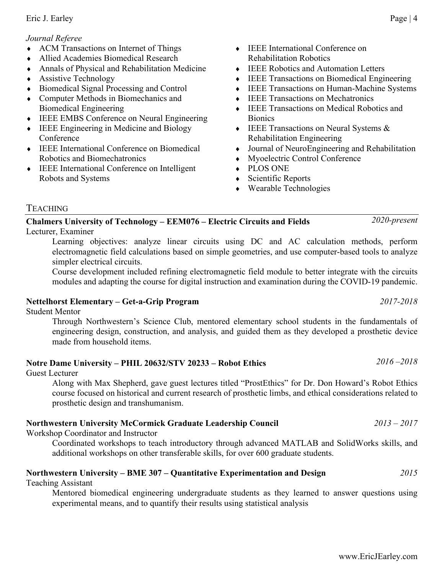#### *Journal Referee*

- ♦ ACM Transactions on Internet of Things
- ♦ Allied Academies Biomedical Research
- ♦ Annals of Physical and Rehabilitation Medicine
- ♦ Assistive Technology
- ♦ Biomedical Signal Processing and Control
- ♦ Computer Methods in Biomechanics and Biomedical Engineering
- ♦ IEEE EMBS Conference on Neural Engineering
- ♦ IEEE Engineering in Medicine and Biology Conference
- ♦ IEEE International Conference on Biomedical Robotics and Biomechatronics
- ♦ IEEE International Conference on Intelligent Robots and Systems
- ♦ IEEE International Conference on Rehabilitation Robotics
- ♦ IEEE Robotics and Automation Letters
- ♦ IEEE Transactions on Biomedical Engineering
- ♦ IEEE Transactions on Human-Machine Systems
- ♦ IEEE Transactions on Mechatronics
- ♦ IEEE Transactions on Medical Robotics and **Bionics**
- ♦ IEEE Transactions on Neural Systems & Rehabilitation Engineering
- ♦ Journal of NeuroEngineering and Rehabilitation
- Myoelectric Control Conference
- ♦ PLOS ONE
- ♦ Scientific Reports
- ♦ Wearable Technologies

#### TEACHING

#### **Chalmers University of Technology – EEM076 – Electric Circuits and Fields** *2020-present* Lecturer, Examiner

Learning objectives: analyze linear circuits using DC and AC calculation methods, perform electromagnetic field calculations based on simple geometries, and use computer-based tools to analyze simpler electrical circuits.

Course development included refining electromagnetic field module to better integrate with the circuits modules and adapting the course for digital instruction and examination during the COVID-19 pandemic.

#### **Nettelhorst Elementary – Get-a-Grip Program** *2017-2018*

Student Mentor

Through Northwestern's Science Club, mentored elementary school students in the fundamentals of engineering design, construction, and analysis, and guided them as they developed a prosthetic device made from household items.

# **Notre Dame University – PHIL 20632/STV 20233 – Robot Ethics** *2016 –2018*

#### Guest Lecturer

Along with Max Shepherd, gave guest lectures titled "ProstEthics" for Dr. Don Howard's Robot Ethics course focused on historical and current research of prosthetic limbs, and ethical considerations related to prosthetic design and transhumanism.

#### **Northwestern University McCormick Graduate Leadership Council** *2013 – 2017*

Workshop Coordinator and Instructor

Coordinated workshops to teach introductory through advanced MATLAB and SolidWorks skills, and additional workshops on other transferable skills, for over 600 graduate students.

# **Northwestern University – BME 307 – Quantitative Experimentation and Design** *2015*

Teaching Assistant

Mentored biomedical engineering undergraduate students as they learned to answer questions using experimental means, and to quantify their results using statistical analysis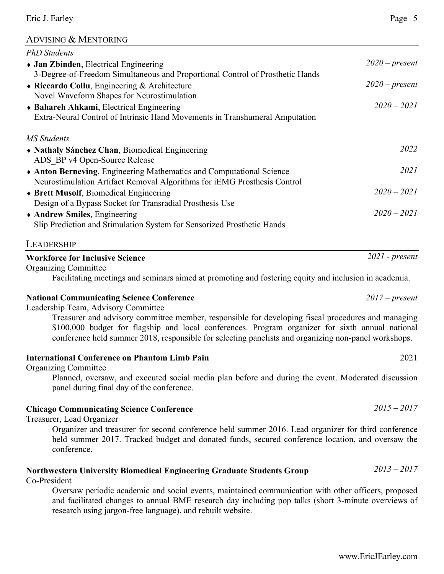## ADVISING & MENTORING

| <b>PhD</b> Students                                                                                   |                  |
|-------------------------------------------------------------------------------------------------------|------------------|
| • Jan Zbinden, Electrical Engineering                                                                 | $2020$ – present |
| 3-Degree-of-Freedom Simultaneous and Proportional Control of Prosthetic Hands                         |                  |
| • Riccardo Collu, Engineering & Architecture                                                          | $2020$ – present |
| Novel Waveform Shapes for Neurostimulation                                                            |                  |
| • Bahareh Ahkami, Electrical Engineering                                                              | $2020 - 2021$    |
| Extra-Neural Control of Intrinsic Hand Movements in Transhumeral Amputation                           |                  |
| <b>MS</b> Students                                                                                    |                  |
| • Nathaly Sánchez Chan, Biomedical Engineering                                                        | 2022             |
| ADS BP v4 Open-Source Release                                                                         |                  |
| Anton Berneving, Engineering Mathematics and Computational Science                                    | 2021             |
| Neurostimulation Artifact Removal Algorithms for iEMG Prosthesis Control                              |                  |
| • Brett Musolf, Biomedical Engineering                                                                | $2020 - 2021$    |
| Design of a Bypass Socket for Transradial Prosthesis Use                                              |                  |
| • Andrew Smiles, Engineering                                                                          | $2020 - 2021$    |
| Slip Prediction and Stimulation System for Sensorized Prosthetic Hands                                |                  |
| LEADERSHIP                                                                                            |                  |
| <b>Workforce for Inclusive Science</b>                                                                | $2021$ - present |
| <b>Organizing Committee</b>                                                                           |                  |
| Facilitating meetings and seminars aimed at promoting and fostering equity and inclusion in academia. |                  |
| <b>National Communicating Science Conference</b>                                                      | $2017$ – present |
| Leadership Team, Advisory Committee                                                                   |                  |
| Treasurer and advisory committee member, responsible for developing fiscal procedures and managing    |                  |
| \$100,000 budget for flagship and local conferences. Program organizer for sixth annual national      |                  |
| conference held summer 2018, responsible for selecting panelists and organizing non-panel workshops.  |                  |
| <b>International Conference on Phantom Limb Pain</b>                                                  | 2021             |

# Organizing Committee

Planned, oversaw, and executed social media plan before and during the event. Moderated discussion panel during final day of the conference.

# **Chicago Communicating Science Conference** *2015 – 2017*

Treasurer, Lead Organizer

Organizer and treasurer for second conference held summer 2016. Lead organizer for third conference held summer 2017. Tracked budget and donated funds, secured conference location, and oversaw the conference.

# **Northwestern University Biomedical Engineering Graduate Students Group** *2013 – 2017*

Co-President

Oversaw periodic academic and social events, maintained communication with other officers, proposed and facilitated changes to annual BME research day including pop talks (short 3-minute overviews of research using jargon-free language), and rebuilt website.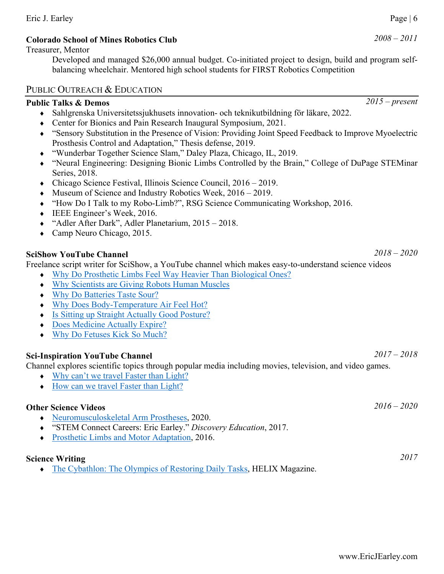#### Eric J. Earley Page | 6

## **Colorado School of Mines Robotics Club** *2008 – 2011*

#### Treasurer, Mentor

Developed and managed \$26,000 annual budget. Co-initiated project to design, build and program selfbalancing wheelchair. Mentored high school students for FIRST Robotics Competition

#### PUBLIC OUTREACH & EDUCATION

# **Public Talks & Demos** *2015 – present*

- ♦ Sahlgrenska Universitetssjukhusets innovation- och teknikutbildning för läkare, 2022.
- ♦ Center for Bionics and Pain Research Inaugural Symposium, 2021.
- ♦ "Sensory Substitution in the Presence of Vision: Providing Joint Speed Feedback to Improve Myoelectric Prosthesis Control and Adaptation," Thesis defense, 2019.
- ♦ "Wunderbar Together Science Slam," Daley Plaza, Chicago, IL, 2019.
- ♦ "Neural Engineering: Designing Bionic Limbs Controlled by the Brain," College of DuPage STEMinar Series, 2018.
- ♦ Chicago Science Festival, Illinois Science Council, 2016 2019.
- $\blacklozenge$  Museum of Science and Industry Robotics Week, 2016 2019.
- ♦ "How Do I Talk to my Robo-Limb?", RSG Science Communicating Workshop, 2016.
- ♦ IEEE Engineer's Week, 2016.
- ♦ "Adler After Dark", Adler Planetarium, 2015 2018.
- ♦ Camp Neuro Chicago, 2015.

# **SciShow YouTube Channel** *2018 – 2020*

Freelance script writer for SciShow, a YouTube channel which makes easy-to-understand science videos

- ♦ [Why Do Prosthetic Limbs Feel Way Heavier Than Biological Ones?](https://www.youtube.com/watch?v=auIBAHYFVzQ)
- ♦ [Why Scientists are Giving Robots Human Muscles](https://www.youtube.com/watch?v=Dd14OyO3NnI)
- ♦ [Why Do Batteries Taste Sour?](https://www.youtube.com/watch?v=je456Ka8ZRo)
- [Why Does Body-Temperature Air Feel Hot?](https://www.youtube.com/watch?v=efg_gbzbyGk)
- ♦ [Is Sitting up Straight Actually Good Posture?](https://www.youtube.com/watch?v=2zzNTl7tcC8)
- ♦ [Does Medicine Actually Expire?](https://www.youtube.com/watch?v=6Jxqo002lxE)
- [Why Do Fetuses Kick So Much?](https://youtu.be/OMcB6bKruec)

# **Sci-Inspiration YouTube Channel** *2017 – 2018*

Channel explores scientific topics through popular media including movies, television, and video games.

- ♦ [Why can't we travel Faster than Light?](https://www.youtube.com/watch?v=6t3l51x_jZA)
- ♦ [How can we travel Faster than Light?](https://www.youtube.com/watch?v=W09WhkU5zTc)

# **Other Science Videos** *2016 – 2020*

- ♦ [Neuromusculoskeletal Arm Prostheses,](https://youtu.be/Oaf4NZCFeTM) 2020.
- ♦ "STEM Connect Careers: Eric Earley." *Discovery Education*, 2017.
- ♦ [Prosthetic Limbs and Motor Adaptation,](https://youtu.be/4vJpbJToeJ8) 2016.

# **Science Writing** *2017*

♦ [The Cybathlon: The Olympics of Restoring Daily Tasks,](http://helix.northwestern.edu/article/cybathlon-olympics-restoring-daily-tasks) HELIX Magazine.